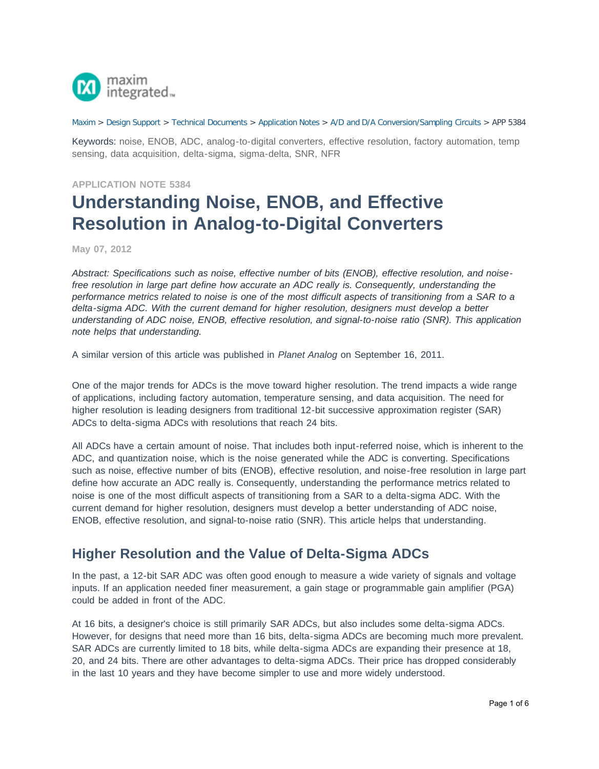

#### [Maxim](http://www.maximintegrated.com/) > [Design Support](http://www.maximintegrated.com/design/) > [Technical Documents](http://www.maximintegrated.com/design/techdocs/) > [Application Notes](http://www.maximintegrated.com/design/techdocs/app-notes/index.mvp) > [A/D and D/A Conversion/Sampling Circuits](http://www.maximintegrated.com/design/techdocs/app-notes/index.mvp/id/2/c/A-D%20and%20D-A%20Conversion-Sampling%20Circuits#c2) > APP 5384

Keywords: noise, ENOB, ADC, analog-to-digital converters, effective resolution, factory automation, temp sensing, data acquisition, delta-sigma, sigma-delta, SNR, NFR

#### **APPLICATION NOTE 5384**

# **Understanding Noise, ENOB, and Effective Resolution in Analog-to-Digital Converters**

#### **May 07, 2012**

*Abstract: Specifications such as noise, effective number of bits (ENOB), effective resolution, and noisefree resolution in large part define how accurate an ADC really is. Consequently, understanding the performance metrics related to noise is one of the most difficult aspects of transitioning from a SAR to a delta-sigma ADC. With the current demand for higher resolution, designers must develop a better understanding of ADC noise, ENOB, effective resolution, and signal-to-noise ratio (SNR). This application note helps that understanding.*

A similar version of this article was published in *Planet Analog* on September 16, 2011.

One of the major trends for ADCs is the move toward higher resolution. The trend impacts a wide range of applications, including factory automation, temperature sensing, and data acquisition. The need for higher resolution is leading designers from traditional 12-bit successive approximation register (SAR) ADCs to delta-sigma ADCs with resolutions that reach 24 bits.

All ADCs have a certain amount of noise. That includes both input-referred noise, which is inherent to the ADC, and quantization noise, which is the noise generated while the ADC is converting. Specifications such as noise, effective number of bits (ENOB), effective resolution, and noise-free resolution in large part define how accurate an ADC really is. Consequently, understanding the performance metrics related to noise is one of the most difficult aspects of transitioning from a SAR to a delta-sigma ADC. With the current demand for higher resolution, designers must develop a better understanding of ADC noise, ENOB, effective resolution, and signal-to-noise ratio (SNR). This article helps that understanding.

### **Higher Resolution and the Value of Delta-Sigma ADCs**

In the past, a 12-bit SAR ADC was often good enough to measure a wide variety of signals and voltage inputs. If an application needed finer measurement, a gain stage or programmable gain amplifier (PGA) could be added in front of the ADC.

At 16 bits, a designer's choice is still primarily SAR ADCs, but also includes some delta-sigma ADCs. However, for designs that need more than 16 bits, delta-sigma ADCs are becoming much more prevalent. SAR ADCs are currently limited to 18 bits, while delta-sigma ADCs are expanding their presence at 18, 20, and 24 bits. There are other advantages to delta-sigma ADCs. Their price has dropped considerably in the last 10 years and they have become simpler to use and more widely understood.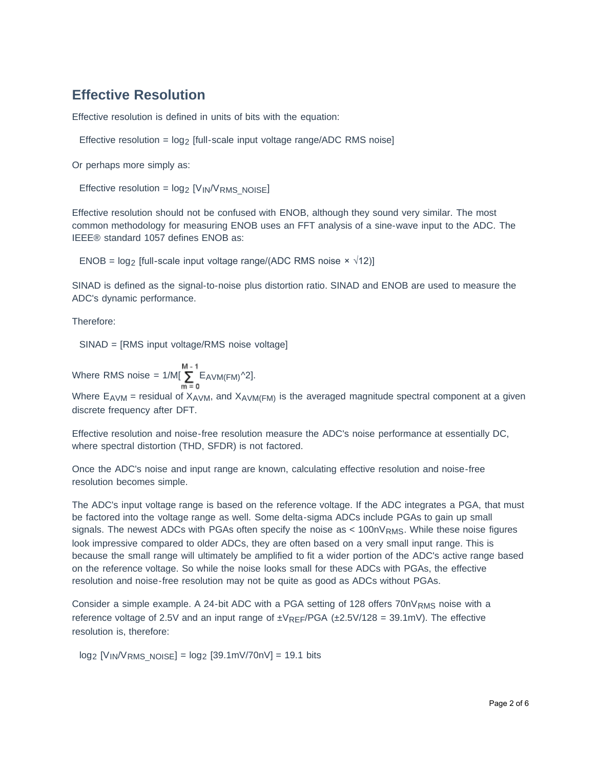# **Effective Resolution**

Effective resolution is defined in units of bits with the equation:

Effective resolution =  $log_2$  [full-scale input voltage range/ADC RMS noise]

Or perhaps more simply as:

Effective resolution =  $log_2$  [V<sub>IN</sub>/V<sub>RMS</sub> NOISE]

Effective resolution should not be confused with ENOB, although they sound very similar. The most common methodology for measuring ENOB uses an FFT analysis of a sine-wave input to the ADC. The IEEE® standard 1057 defines ENOB as:

ENOB =  $log_2$  [full-scale input voltage range/(ADC RMS noise  $\times \sqrt{12}$ )]

SINAD is defined as the signal-to-noise plus distortion ratio. SINAD and ENOB are used to measure the ADC's dynamic performance.

Therefore:

SINAD = [RMS input voltage/RMS noise voltage]

Where RMS noise =  $1/M[\sum_{m=0}^{M-1}E_{\text{AVM}(FM)}^{\text{A}}]$ .

Where  $E_{AVM}$  = residual of  $X_{AVM}$ , and  $X_{AVM}$ (FM) is the averaged magnitude spectral component at a given discrete frequency after DFT.

Effective resolution and noise-free resolution measure the ADC's noise performance at essentially DC, where spectral distortion (THD, SFDR) is not factored.

Once the ADC's noise and input range are known, calculating effective resolution and noise-free resolution becomes simple.

The ADC's input voltage range is based on the reference voltage. If the ADC integrates a PGA, that must be factored into the voltage range as well. Some delta-sigma ADCs include PGAs to gain up small signals. The newest ADCs with PGAs often specify the noise as  $< 100$ n $V_{RMS}$ . While these noise figures look impressive compared to older ADCs, they are often based on a very small input range. This is because the small range will ultimately be amplified to fit a wider portion of the ADC's active range based on the reference voltage. So while the noise looks small for these ADCs with PGAs, the effective resolution and noise-free resolution may not be quite as good as ADCs without PGAs.

Consider a simple example. A 24-bit ADC with a PGA setting of 128 offers  $70nV_{RMS}$  noise with a reference voltage of 2.5V and an input range of  $\pm V_{RFF}/PGA$  ( $\pm 2.5V/128 = 39.1mV$ ). The effective resolution is, therefore:

 $log_2$  [V<sub>IN</sub>/V<sub>RMS\_NOISE</sub>] =  $log_2$  [39.1mV/70nV] = 19.1 bits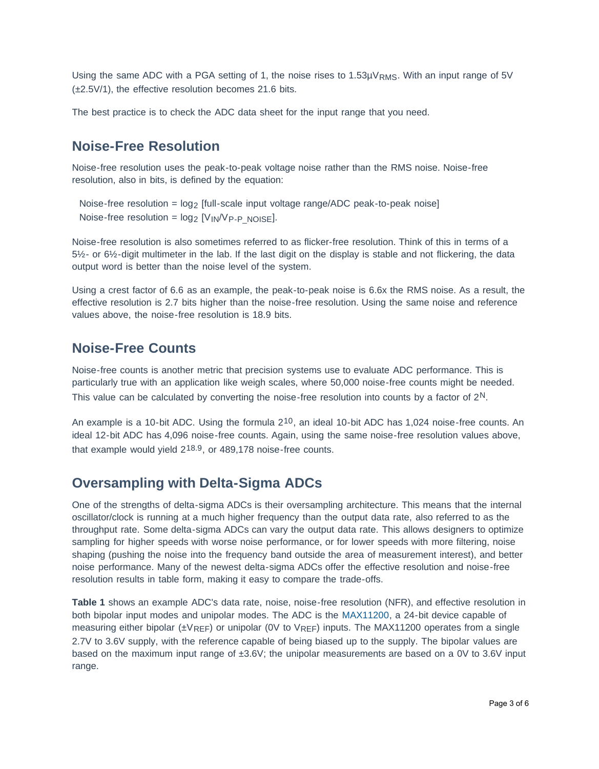Using the same ADC with a PGA setting of 1, the noise rises to  $1.53\mu V_{RMS}$ . With an input range of 5V (±2.5V/1), the effective resolution becomes 21.6 bits.

The best practice is to check the ADC data sheet for the input range that you need.

### **Noise-Free Resolution**

Noise-free resolution uses the peak-to-peak voltage noise rather than the RMS noise. Noise-free resolution, also in bits, is defined by the equation:

Noise-free resolution =  $\log_2$  [full-scale input voltage range/ADC peak-to-peak noise] Noise-free resolution =  $log_2$  [V<sub>IN</sub>/V<sub>P-P\_NOISE</sub>].

Noise-free resolution is also sometimes referred to as flicker-free resolution. Think of this in terms of a 5½- or 6½-digit multimeter in the lab. If the last digit on the display is stable and not flickering, the data output word is better than the noise level of the system.

Using a crest factor of 6.6 as an example, the peak-to-peak noise is 6.6x the RMS noise. As a result, the effective resolution is 2.7 bits higher than the noise-free resolution. Using the same noise and reference values above, the noise-free resolution is 18.9 bits.

### **Noise-Free Counts**

Noise-free counts is another metric that precision systems use to evaluate ADC performance. This is particularly true with an application like weigh scales, where 50,000 noise-free counts might be needed. This value can be calculated by converting the noise-free resolution into counts by a factor of  $2<sup>N</sup>$ .

An example is a 10-bit ADC. Using the formula  $2^{10}$ , an ideal 10-bit ADC has 1,024 noise-free counts. An ideal 12-bit ADC has 4,096 noise-free counts. Again, using the same noise-free resolution values above, that example would yield 218.9, or 489,178 noise-free counts.

### **Oversampling with Delta-Sigma ADCs**

One of the strengths of delta-sigma ADCs is their oversampling architecture. This means that the internal oscillator/clock is running at a much higher frequency than the output data rate, also referred to as the throughput rate. Some delta-sigma ADCs can vary the output data rate. This allows designers to optimize sampling for higher speeds with worse noise performance, or for lower speeds with more filtering, noise shaping (pushing the noise into the frequency band outside the area of measurement interest), and better noise performance. Many of the newest delta-sigma ADCs offer the effective resolution and noise-free resolution results in table form, making it easy to compare the trade-offs.

**Table 1** shows an example ADC's data rate, noise, noise-free resolution (NFR), and effective resolution in both bipolar input modes and unipolar modes. The ADC is the [MAX11200,](http://www.maximintegrated.com/MAX11200) a 24-bit device capable of measuring either bipolar ( $\pm V_{REF}$ ) or unipolar (0V to  $V_{REF}$ ) inputs. The MAX11200 operates from a single 2.7V to 3.6V supply, with the reference capable of being biased up to the supply. The bipolar values are based on the maximum input range of ±3.6V; the unipolar measurements are based on a 0V to 3.6V input range.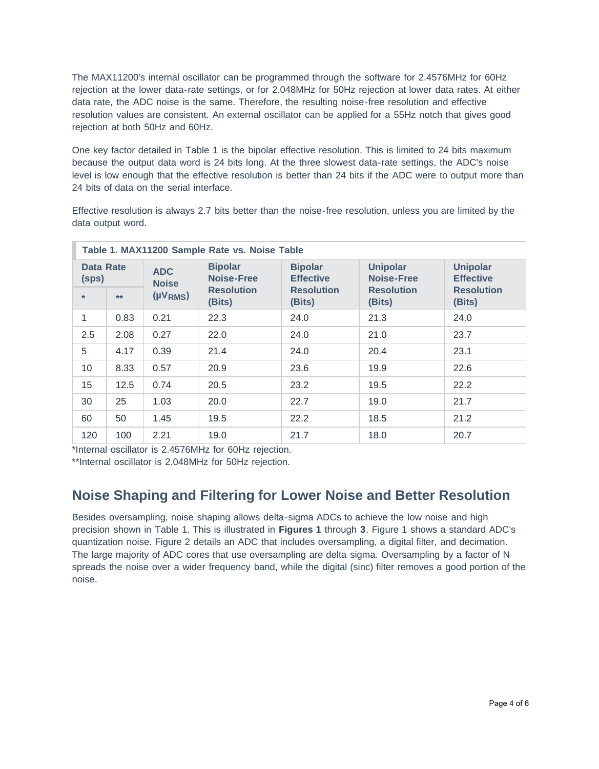The MAX11200's internal oscillator can be programmed through the software for 2.4576MHz for 60Hz rejection at the lower data-rate settings, or for 2.048MHz for 50Hz rejection at lower data rates. At either data rate, the ADC noise is the same. Therefore, the resulting noise-free resolution and effective resolution values are consistent. An external oscillator can be applied for a 55Hz notch that gives good rejection at both 50Hz and 60Hz.

One key factor detailed in Table 1 is the bipolar effective resolution. This is limited to 24 bits maximum because the output data word is 24 bits long. At the three slowest data-rate settings, the ADC's noise level is low enough that the effective resolution is better than 24 bits if the ADC were to output more than 24 bits of data on the serial interface.

Effective resolution is always 2.7 bits better than the noise-free resolution, unless you are limited by the data output word.

| Table 1. MAX11200 Sample Rate vs. Noise Table |      |                            |                              |                                    |                               |                                     |  |
|-----------------------------------------------|------|----------------------------|------------------------------|------------------------------------|-------------------------------|-------------------------------------|--|
| <b>Data Rate</b><br>(sps)                     |      | <b>ADC</b><br><b>Noise</b> | <b>Bipolar</b><br>Noise-Free | <b>Bipolar</b><br><b>Effective</b> | <b>Unipolar</b><br>Noise-Free | <b>Unipolar</b><br><b>Effective</b> |  |
| $\ast$                                        | $**$ | $(\mu V_{RMS})$            | <b>Resolution</b><br>(Bits)  | <b>Resolution</b><br>(Bits)        | <b>Resolution</b><br>(Bits)   | <b>Resolution</b><br>(Bits)         |  |
| 1                                             | 0.83 | 0.21                       | 22.3                         | 24.0                               | 21.3                          | 24.0                                |  |
| 2.5                                           | 2.08 | 0.27                       | 22.0                         | 24.0                               | 21.0                          | 23.7                                |  |
| 5                                             | 4.17 | 0.39                       | 21.4                         | 24.0                               | 20.4                          | 23.1                                |  |
| 10                                            | 8.33 | 0.57                       | 20.9                         | 23.6                               | 19.9                          | 22.6                                |  |
| 15                                            | 12.5 | 0.74                       | 20.5                         | 23.2                               | 19.5                          | 22.2                                |  |
| 30                                            | 25   | 1.03                       | 20.0                         | 22.7                               | 19.0                          | 21.7                                |  |
| 60                                            | 50   | 1.45                       | 19.5                         | 22.2                               | 18.5                          | 21.2                                |  |
| 120                                           | 100  | 2.21                       | 19.0                         | 21.7                               | 18.0                          | 20.7                                |  |

\*Internal oscillator is 2.4576MHz for 60Hz rejection.

\*\*Internal oscillator is 2.048MHz for 50Hz rejection.

## **Noise Shaping and Filtering for Lower Noise and Better Resolution**

Besides oversampling, noise shaping allows delta-sigma ADCs to achieve the low noise and high precision shown in Table 1. This is illustrated in **Figures 1** through **3**. Figure 1 shows a standard ADC's quantization noise. Figure 2 details an ADC that includes oversampling, a digital filter, and decimation. The large majority of ADC cores that use oversampling are delta sigma. Oversampling by a factor of N spreads the noise over a wider frequency band, while the digital (sinc) filter removes a good portion of the noise.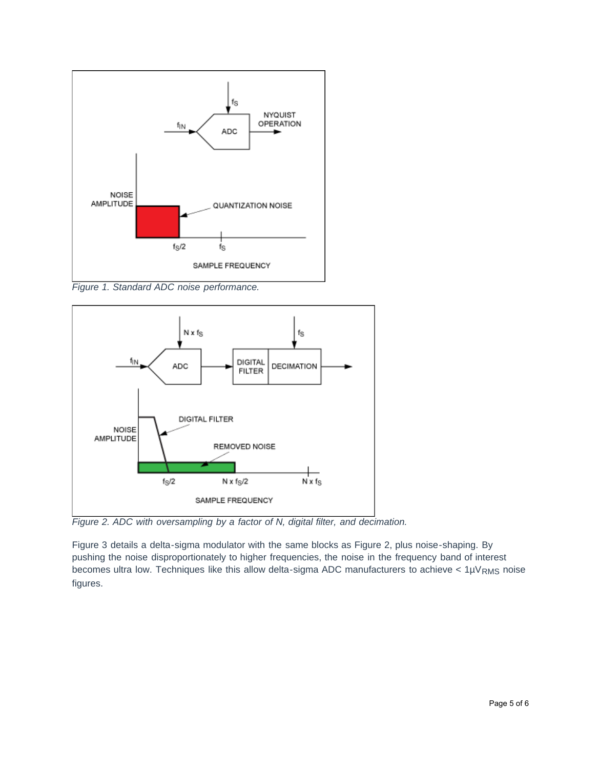

*Figure 1. Standard ADC noise performance.*



*Figure 2. ADC with oversampling by a factor of N, digital filter, and decimation.*

Figure 3 details a delta-sigma modulator with the same blocks as Figure 2, plus noise-shaping. By pushing the noise disproportionately to higher frequencies, the noise in the frequency band of interest becomes ultra low. Techniques like this allow delta-sigma ADC manufacturers to achieve <  $1\mu V_{RMS}$  noise figures.